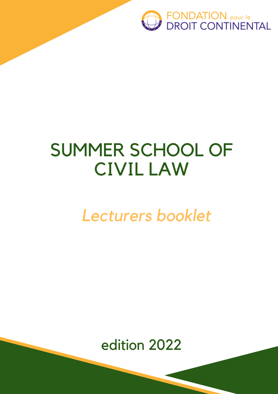

# SUMMER SCHOOL OF CIVIL LAW

# *Lecturers booklet*

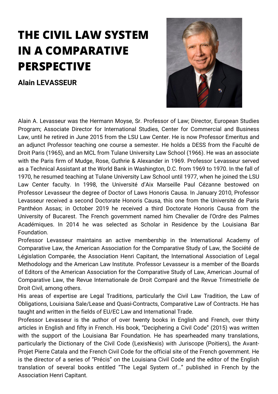### **THE CIVIL LAW SYSTEM IN A COMPARATIVE PERSPECTIVE**

**Alain LEVASSEUR**



Alain A. Levasseur was the Hermann Moyse, Sr. Professor of Law; Director, European Studies Program; Associate Director for International Studies, Center for Commercial and Business Law, until he retired in June 2015 from the LSU Law Center. He is now Professor Emeritus and an adjunct Professor teaching one course a semester. He holds a DESS from the Faculté de Droit Paris (1965), and an MCL from Tulane University Law School (1966). He was an associate with the Paris firm of Mudge, Rose, Guthrie & Alexander in 1969. Professor Levasseur served as a Technical Assistant at the World Bank in Washington, D.C. from 1969 to 1970. In the fall of 1970, he resumed teaching at Tulane University Law School until 1977, when he joined the LSU Law Center faculty. In 1998, the Université d'Aix Marseille Paul Cézanne bestowed on Professor Levasseur the degree of Doctor of Laws Honoris Causa. In January 2010, Professor Levasseur received a second Doctorate Honoris Causa, this one from the Université de Paris Panthéon Assas; in October 2019 he received a third Doctorate Honoris Causa from the University of Bucarest. The French government named him Chevalier de l'Ordre des Palmes Académiques. In 2014 he was selected as Scholar in Residence by the Louisiana Bar Foundation.

Professor Levasseur maintains an active membership in the International Academy of Comparative Law, the American Association for the Comparative Study of Law, the Société de Législation Comparée, the Association Henri Capitant, the International Association of Legal Methodology and the American Law Institute. Professor Levasseur is a member of the Boards of Editors of the American Association for the Comparative Study of Law, American Journal of Comparative Law, the Revue Internationale de Droit Comparé and the Revue Trimestrielle de Droit Civil, among others.

His areas of expertise are Legal Traditions, particularly the Civil Law Tradition, the Law of Obligations, Louisiana Sale/Lease and Quasi-Contracts, Comparative Law of Contracts. He has taught and written in the fields of EU/EC Law and International Trade.

Professor Levasseur is the author of over twenty books in English and French, over thirty articles in English and fifty in French. His book, "Deciphering a Civil Code" (2015) was written with the support of the Louisiana Bar Foundation. He has spearheaded many translations, particularly the Dictionary of the Civil Code (LexisNexis) with Juriscope (Poitiers), the Avant-Projet Pierre Catala and the French Civil Code for the official site of the French government. He is the director of a series of "Précis" on the Louisiana Civil Code and the editor of the English translation of several books entitled "The Legal System of…" published in French by the Association Henri Capitant.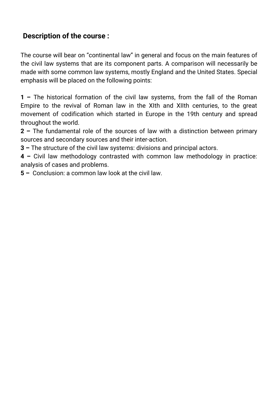#### **Description of the course :**

The course will bear on "continental law" in general and focus on the main features of the civil law systems that are its component parts. A comparison will necessarily be made with some common law systems, mostly England and the United States. Special emphasis will be placed on the following points:

**1 –** The historical formation of the civil law systems, from the fall of the Roman Empire to the revival of Roman law in the XIth and XIIth centuries, to the great movement of codification which started in Europe in the 19th century and spread throughout the world.

**2 –** The fundamental role of the sources of law with a distinction between primary sources and secondary sources and their inter-action.

**3 –** The structure of the civil law systems: divisions and principal actors.

**4 –** Civil law methodology contrasted with common law methodology in practice: analysis of cases and problems.

**5 –** Conclusion: a common law look at the civil law.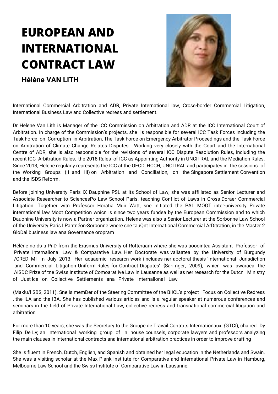## **EUROPEAN AND INTERNATIONAL CONTRACT LAW**

**Hélène VAN LITH**



International Commercial Arbitration and ADR, Private International law, Cross-border Commercial Litigation, International Business Law and Collective redress and settlement.

Dr Helene Van Lith is Manager of the ICC Commission on Arbitration and ADR at the ICC International Court of Arbitration. In charge of the Commission's projects, she is responsible for several ICC Task Forces including the Task Force on Corruption in Arbitration, The Task Force on Emergency Arbitrator Proceedings and the Task Force on Arbitration of Climate Change Relates Disputes. Working very closely with the Court and the International Centre of ADR, she is also responsible for the revisions of several ICC Dispute Resolution Rules, including the recent ICC Arbitration Rules, the 2018 Rules of ICC as Appointing Authority in UNCITRAL and the Mediation Rules. Since 2013, Helene regularly represents the ICC at the OECD, HCCH, UNCITRAL and participates in the sessions of the Working Groups {II and III) on Arbitration and Conciliation, on the Singapore Settlement Convention and the ISDS Reform.

Before joining University Paris IX Dauphine PSL at its School of Law, she was affiliated as Senior Lecturer and Associate Researcher to SciencesPo Law Scnool Paris. teaching Conflict of Laws in Cross-Doraer Commercial Litigation. Together witn Professor Horatia Muir Watt, sne initiated the PAL MOOT inter-university Private international law Moot Competition wnicn is since two years fundea by tne European Commission and to which Dauonine University is now a Partner organization. Helene was also a Senior Lecturer at the Sorbonne Law School of the University Paris I Pantnéon-Sorbonne wnere sne tauQnt International Commercial ArDitration, in the Master 2 GloDal business law ana Governance oropram

Héléne nolds a PnD from the Erasmus University of Rotteraam where she was aooointea Assistant Professor of Private Internalional Law & Comparative Law. Her Doctorate was valiaatea by the University of Burgundy /CREDI MI i n July 2013. Her acaaemic researcn work i ncluaes ner aoctoral thesis 'International Jurisdiction and Commercial Litigation Uniform Rules for Contract Disputes' {Sari nger, 2009), wnicn was awaraea the AiSDC Prize of tne Swiss Institute of Comoarat ive Law in Lausanne as well as ner research for the Dutcn Ministry of Just ice on Collective Settlements ana Private InternalionaI Law

{Maklu/l SBS, 2011). Sne is memDer of the Steering Committee of tne BIICL's project 'Focus on Collective Redress , the ILA and the IBA. She has published various articles and is a regular speaker at numerous conferences and seminars in the field of Private International Law, collective redress and transnational commercial litigation and arbitration

For more than 10 years, she was the Secretary to the Groupe de Travail Contrats Internationaux {GTCI), chaired Dy Filip De Ly; an international working group of in house counsels, corporate lawyers and professors analyzing the main clauses in international contracts ana international arbitration practices in order to improve drafting

She is fluent in French, Dutch, English, and Spanish and obtained her legal education in the Netherlands and Swain. She was a visiting scholar at the Max Plank Institute for Comparative and International Private Law in Hamburg, Melbourne Law School and the Swiss Institute of Comparative Law in Lausanne.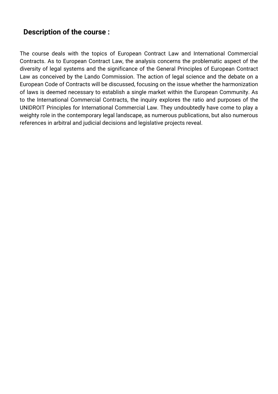#### **Description of the course :**

The course deals with the topics of European Contract Law and International Commercial Contracts. As to European Contract Law, the analysis concerns the problematic aspect of the diversity of legal systems and the significance of the General Principles of European Contract Law as conceived by the Lando Commission. The action of legal science and the debate on a European Code of Contracts will be discussed, focusing on the issue whether the harmonization of laws is deemed necessary to establish a single market within the European Community. As to the International Commercial Contracts, the inquiry explores the ratio and purposes of the UNIDROIT Principles for International Commercial Law. They undoubtedly have come to play a weighty role in the contemporary legal landscape, as numerous publications, but also numerous references in arbitral and judicial decisions and legislative projects reveal.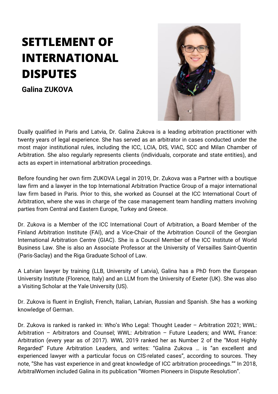## **SETTLEMENT OF INTERNATIONAL DISPUTES**

**Galina ZUKOVA**



Dually qualified in Paris and Latvia, Dr. Galina Zukova is a leading arbitration practitioner with twenty years of legal experience. She has served as an arbitrator in cases conducted under the most major institutional rules, including the ICC, LCIA, DIS, VIAC, SCC and Milan Chamber of Arbitration. She also regularly represents clients (individuals, corporate and state entities), and acts as expert in international arbitration proceedings.

Before founding her own firm ZUKOVA Legal in 2019, Dr. Zukova was a Partner with a boutique law firm and a lawyer in the top International Arbitration Practice Group of a major international law firm based in Paris. Prior to this, she worked as Counsel at the ICC International Court of Arbitration, where she was in charge of the case management team handling matters involving parties from Central and Eastern Europe, Turkey and Greece.

Dr. Zukova is a Member of the ICC International Court of Arbitration, a Board Member of the Finland Arbitration Institute (FAI), and a Vice-Chair of the Arbitration Council of the Georgian International Arbitration Centre (GIAC). She is a Council Member of the ICC Institute of World Business Law. She is also an Associate Professor at the University of Versailles Saint-Quentin (Paris-Saclay) and the Riga Graduate School of Law.

A Latvian lawyer by training (LLB, University of Latvia), Galina has a PhD from the European University Institute (Florence, Italy) and an LLM from the University of Exeter (UK). She was also a Visiting Scholar at the Yale University (US).

Dr. Zukova is fluent in English, French, Italian, Latvian, Russian and Spanish. She has a working knowledge of German.

Dr. Zukova is ranked is ranked in: Who's Who Legal: Thought Leader – Arbitration 2021; WWL: Arbitration – Arbitrators and Counsel; WWL: Arbitration – Future Leaders; and WWL France: Arbitration (every year as of 2017). WWL 2019 ranked her as Number 2 of the "Most Highly Regarded" Future Arbitration Leaders, and writes: "Galina Zukova … is "an excellent and experienced lawyer with a particular focus on CIS-related cases", according to sources. They note, "She has vast experience in and great knowledge of ICC arbitration proceedings."" In 2018, ArbitralWomen included Galina in its publication "Women Pioneers in Dispute Resolution".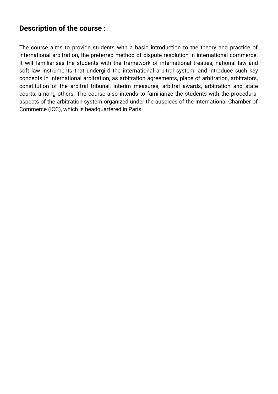#### **Description of the course :**

The course aims to provide students with a basic introduction to the theory and practice of international arbitration, the preferred method of dispute resolution in international commerce. It will familiarises the students with the framework of international treaties, national law and soft law instruments that undergird the international arbitral system, and introduce such key concepts in international arbitration, as arbitration agreements, place of arbitration, arbitrators, constitution of the arbitral tribunal, interim measures, arbitral awards, arbitration and state courts, among others. The course also intends to familiarize the students with the procedural aspects of the arbitration system organized under the auspices of the International Chamber of Commerce (ICC), which is headquartered in Paris.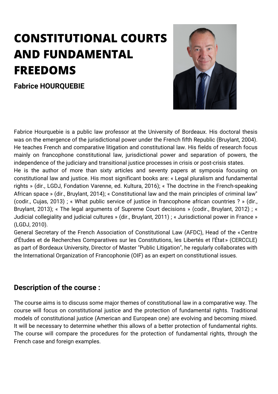### **CONSTITUTIONAL COURTS AND FUNDAMENTAL FREEDOMS**

**Fabrice HOURQUEBIE**



Fabrice Hourquebie is a public law professor at the University of Bordeaux. His doctoral thesis was on the emergence of the jurisdictional power under the French fifth Republic (Bruylant, 2004). He teaches French and comparative litigation and constitutional law. His fields of research focus mainly on francophone constitutional law, jurisdictional power and separation of powers, the independence of the judiciary and transitional justice processes in crisis or post-crisis states. He is the author of more than sixty articles and seventy papers at symposia focusing on constitutional law and justice. His most significant books are: « Legal pluralism and fundamental rights » (dir., LGDJ, Fondation Varenne, ed. Kultura, 2016); « The doctrine in the French-speaking African space » (dir., Bruylant, 2014); « Constitutional law and the main principles of criminal law" (codir., Cujas, 2013) ; « What public service of justice in francophone african countries ? » (dir., Bruylant, 2013); « The legal arguments of Supreme Court decisions » (codir., Bruylant, 2012) ; « Judicial collegiality and judicial cultures » (dir., Bruylant, 2011) ; « Jurisdictional power in France » (LGDJ, 2010).

General Secretary of the French Association of Constitutional Law (AFDC), Head of the «Centre d'Études et de Recherches Comparatives sur les Constitutions, les Libertés et l'État » (CERCCLE) as part of Bordeaux University, Director of Master "Public Litigation", he regularly collaborates with the International Organization of Francophonie (OIF) as an expert on constitutional issues.

#### **Description of the course :**

The course aims is to discuss some major themes of constitutional law in a comparative way. The course will focus on constitutional justice and the protection of fundamental rights. Traditional models of constitutional justice (American and European one) are evolving and becoming mixed. It will be necessary to determine whether this allows of a better protection of fundamental rights. The course will compare the procedures for the protection of fundamental rights, through the French case and foreign examples.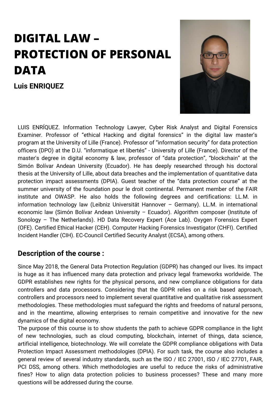### **DIGITAL LAW – PROTECTION OF PERSONAL DATA**

**Luis ENRIQUEZ**



LUIS ENRÍQUEZ. Information Technology Lawyer, Cyber Risk Analyst and Digital Forensics Examiner. Professor of "ethical Hacking and digital forensics" in the digital law master's program at the University of Lille (France). Professor of "information security" for data protection officers (DPO) at the D.U. "informatique et libertés" - University of Lille (France). Director of the master's degree in digital economy & law, professor of "data protection", "blockchain" at the Simón Bolívar Andean University (Ecuador). He has deeply researched through his doctoral thesis at the University of Lille, about data breaches and the implementation of quantitative data protection impact assessments (DPIA). Guest teacher of the "data protection course" at the summer university of the foundation pour le droit continental. Permanent member of the FAIR institute and OWASP. He also holds the following degrees and certifications: LL.M. in information technology law (Leibniz Universität Hannover – Germany). LL.M. in international economic law (Simón Bolívar Andean University – Ecuador). Algorithm composer (Institute of Sonology – The Netherlands). HD Data Recovery Expert (Ace Lab). Oxygen Forensics Expert (OFE). Certified Ethical Hacker (CEH). Computer Hacking Forensics Investigator (CHFI). Certified Incident Handler (CIH). EC-Council Certified Security Analyst (ECSA), among others.

#### **Description of the course :**

Since May 2018, the General Data Protection Regulation (GDPR) has changed our lives. Its impact is huge as it has influenced many data protection and privacy legal frameworks worldwide. The GDPR establishes new rights for the physical persons, and new compliance obligations for data controllers and data processors. Considering that the GDPR relies on a risk based approach, controllers and processors need to implement several quantitative and qualitative risk assessment methodologies. These methodologies must safeguard the rights and freedoms of natural persons, and in the meantime, allowing enterprises to remain competitive and innovative for the new dynamics of the digital economy.

The purpose of this course is to show students the path to achieve GDPR compliance in the light of new technologies, such as cloud computing, blockchain, internet of things, data science, artificial intelligence, biotechnology. We will correlate the GDPR compliance obligations with Data Protection Impact Assessment methodologies (DPIA). For such task, the course also includes a general review of several industry standards, such as the ISO / IEC 27001, ISO / IEC 27701, FAIR, PCI DSS, among others. Which methodologies are useful to reduce the risks of administrative fines? How to align data protection policies to business processes? These and many more questions will be addressed during the course.